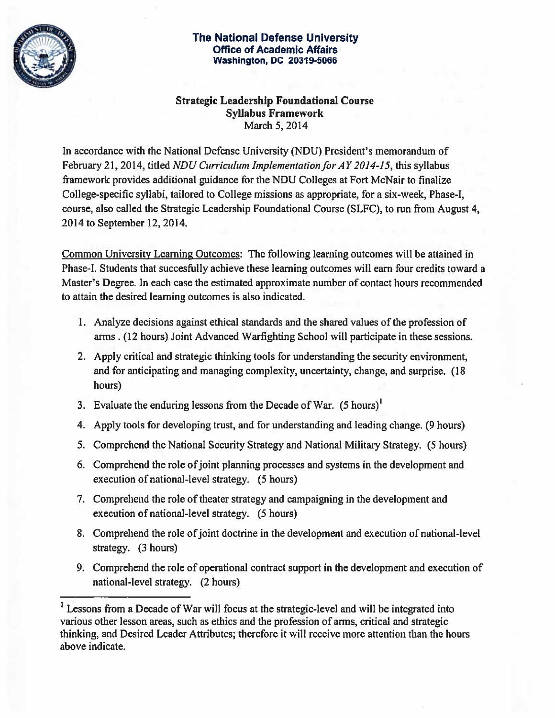

## The National Defense University Office of Academic Affairs<br>Washington, DC 20319-5066 The National Defense Unive<br>Office of Academic Affairs<br>Washington, DC 20319-5066

## Strategic Leadership Foundational Course Syllabus Framework March 5, 2014

In accordance with the National Defense University (NDU) President's memorandum of February 21, 2014, titled NDU Curriculum Implementation for AY 2014-15, this syllabus framework provides additional guidance for the NDU Colleges at Fort McNair to finalize College-specific syllabi, tailored to College missions as appropriate, for a six-week, Phase-I, course, also called the Strategic Leadership Foundational Course (SLFC), to run from August 4, 2014 to September 12, 2014.

Common University Learning Outcomes: The following learning outcomes will be attained in Phase-I. Students that succesfully achieve these learning outcomes will earn four credits toward a Master's Degree. In each case the estimated approximate number of contact hours recommended to attain the desired learning outcomes is also indicated.

- 1. Analyze decisions against ethical standards and the shared values of the profession of arms . (12 hours) Joint Advanced Warfighting School will participate in these sessions.
- 2. Apply critical and strategic thinking tools for understanding the security environment, and for anticipating and managing complexity, uncertainty, change, and surprise. (18 hours)
- 3. Evaluate the enduring lessons from the Decade of War. (5 hours)'
- 4. Apply tools for developing trust, and for understanding and leading change. (9 hours)
- 5. Comprehend the National Security Strategy and National Military Strategy. (5 hours)
- 6. Comprehend the role ofjoint planning processes and systems in the development and execution of national-level strategy. (5 hours)
- 7. Comprehend the role of theater strategy and campaigning in the development and execution of national-level strategy. (5 hours)
- 8. Comprehend the role of joint doctrine in the development and execution of national-level strategy. (3 hours)
- 9. Comprehend the role of operational contract support in the development and execution of national-level strategy. (2 hours)

<sup>&</sup>lt;sup>1</sup> Lessons from a Decade of War will focus at the strategic-level and will be integrated into various other lesson areas, such as ethics and the profession of arms, critical and strategic thinking, and Desired Leader Attributes; therefore it will receive more attention than the hours above indicate.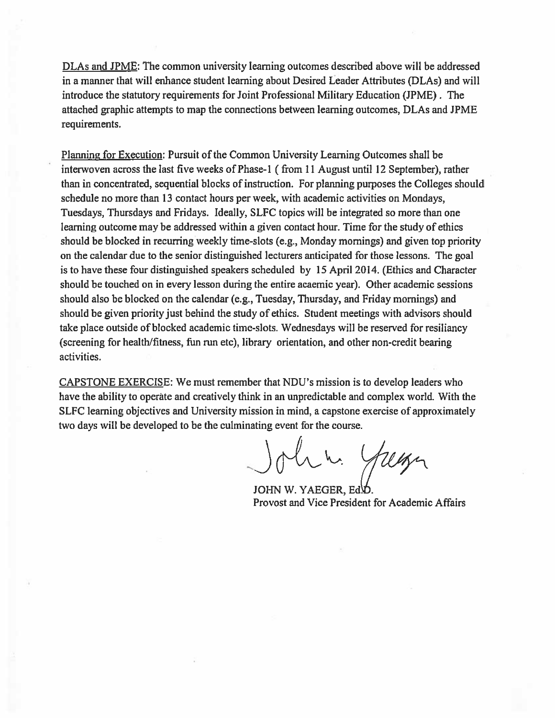DLAs and JPME: The common university learning outcomes described above will be addressed in a manner that will enhance student learning about Desired Leader Attributes (DLAs) and will introduce the statutory requirements for Joint Professional Military Education (JPME) . The attached graphic attempts to map the connections between learning outcomes, DLAs and JPME requirements.

Planning for Execution: Pursuit of the Common University Learning Outcomes shall be interwoven across the last five weeks of Phase-1 (from 11 August until 12 September), rather than in concentrated, sequential blocks of instruction. For planning purposes the Colleges should schedule no more than 13 contact hours per week, with academic activities on Mondays, Tuesdays, Thursdays and Fridays. Ideally, SLFC topics will be integrated so more than one learning outcome may be addressed within a given contact hour. Time for the study of ethics should be blocked in recurring weekly time-slots (e.g., Monday mornings) and given top priority on the calendar due to the senior distinguished lecturers anticipated for those lessons. The goal is to have these four distinguished speakers scheduled by 15 April 2014. (Ethics and Character should be touched on in every lesson during the entire acaemic year). Other academic sessions should also be blocked on the calendar (e.g., Tuesday, Thursday, and Friday mornings) and should be given priority just behind the study of ethics. Student meetings with advisors should take place outside of blocked academic time-slots. Wednesdays will be reserved for resiliancy (screening for health/fitness, tim run etc), library orientation, and other non-credit bearing activities.

CAPSTONE EXERCISE: We must remember that NDU's mission is to develop leaders who have the ability to operate and creatively think in an unpredictable and complex world. With the SLFC learning objectives and University mission in mind, a capstone exercise of approximately two days will be developed to be the culminating event for the course.

John. Yuga

JOHN W. YAEGER, Ed.D. Provost and Vice President for Academic Affairs